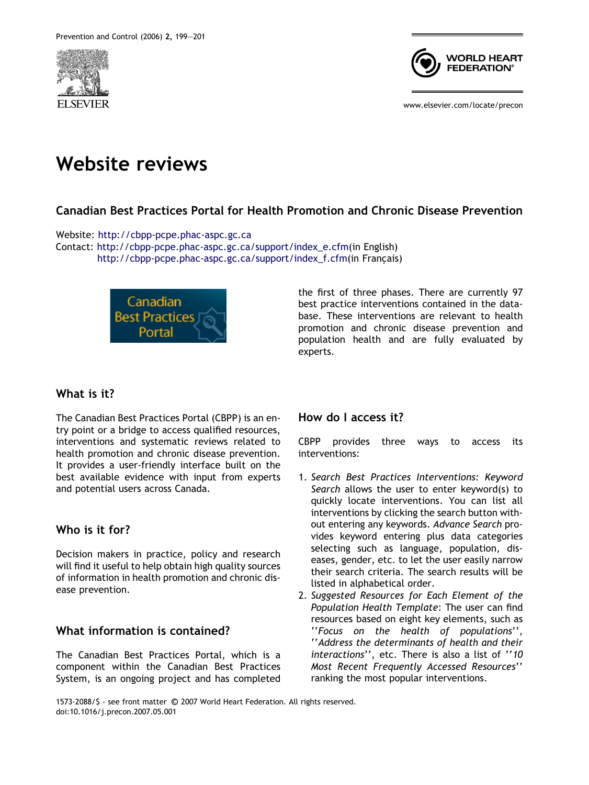



www.elsevier.com/locate/precon

# Website reviews

# Canadian Best Practices Portal for Health Promotion and Chronic Disease Prevention

Website: <http://cbpp-pcpe.phac-aspc.gc.ca> Contact: [http://cbpp-pcpe.phac-aspc.gc.ca/support/index\\_e.cfm\(](http://cbpp-pcpe.phac-aspc.gc.ca/support/index_e.cfm)in English) [http://cbpp-pcpe.phac-aspc.gc.ca/support/index\\_f.cfm](http://cbpp-pcpe.phac-aspc.gc.ca/support/index_f.cfm)(in Français)



the first of three phases. There are currently 97 best practice interventions contained in the database. These interventions are relevant to health promotion and chronic disease prevention and population health and are fully evaluated by experts.

# What is it?

The Canadian Best Practices Portal (CBPP) is an entry point or a bridge to access qualified resources, interventions and systematic reviews related to health promotion and chronic disease prevention. It provides a user-friendly interface built on the best available evidence with input from experts and potential users across Canada.

# Who is it for?

Decision makers in practice, policy and research will find it useful to help obtain high quality sources of information in health promotion and chronic disease prevention.

# What information is contained?

The Canadian Best Practices Portal, which is a component within the Canadian Best Practices System, is an ongoing project and has completed

# How do I access it?

CBPP provides three ways to access its interventions:

- 1. Search Best Practices Interventions: Keyword Search allows the user to enter keyword(s) to quickly locate interventions. You can list all interventions by clicking the search button without entering any keywords. Advance Search provides keyword entering plus data categories selecting such as language, population, diseases, gender, etc. to let the user easily narrow their search criteria. The search results will be listed in alphabetical order.
- 2. Suggested Resources for Each Element of the Population Health Template: The user can find resources based on eight key elements, such as ''Focus on the health of populations'', ''Address the determinants of health and their interactions'', etc. There is also a list of ''10 Most Recent Frequently Accessed Resources'' ranking the most popular interventions.

1573-2088/\$ - see front matter © 2007 World Heart Federation. All rights reserved. doi:10.1016/j.precon.2007.05.001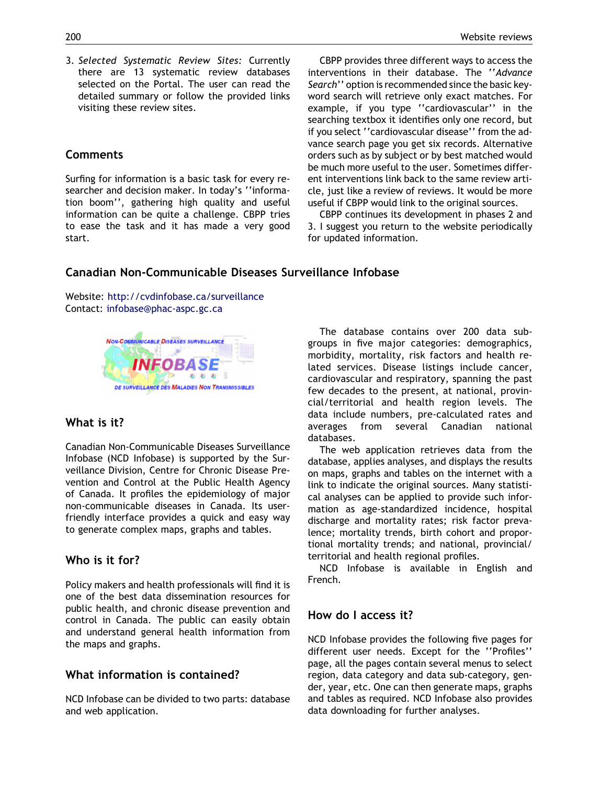3. Selected Systematic Review Sites: Currently there are 13 systematic review databases selected on the Portal. The user can read the detailed summary or follow the provided links visiting these review sites.

### **Comments**

Surfing for information is a basic task for every researcher and decision maker. In today's ''information boom'', gathering high quality and useful information can be quite a challenge. CBPP tries to ease the task and it has made a very good start.

CBPP provides three different ways to access the interventions in their database. The ''Advance Search'' option is recommended since the basic keyword search will retrieve only exact matches. For example, if you type ''cardiovascular'' in the searching textbox it identifies only one record, but if you select ''cardiovascular disease'' from the advance search page you get six records. Alternative orders such as by subject or by best matched would be much more useful to the user. Sometimes different interventions link back to the same review article, just like a review of reviews. It would be more useful if CBPP would link to the original sources.

CBPP continues its development in phases 2 and 3. I suggest you return to the website periodically for updated information.

# Canadian Non-Communicable Diseases Surveillance Infobase

Website: <http://cvdinfobase.ca/surveillance> Contact: [infobase@phac-aspc.gc.ca](http://infobase@phac-aspc.gc.ca)



## What is it?

Canadian Non-Communicable Diseases Surveillance Infobase (NCD Infobase) is supported by the Surveillance Division, Centre for Chronic Disease Prevention and Control at the Public Health Agency of Canada. It profiles the epidemiology of major non-communicable diseases in Canada. Its userfriendly interface provides a quick and easy way to generate complex maps, graphs and tables.

## Who is it for?

Policy makers and health professionals will find it is one of the best data dissemination resources for public health, and chronic disease prevention and control in Canada. The public can easily obtain and understand general health information from the maps and graphs.

## What information is contained?

NCD Infobase can be divided to two parts: database and web application.

The database contains over 200 data subgroups in five major categories: demographics, morbidity, mortality, risk factors and health related services. Disease listings include cancer, cardiovascular and respiratory, spanning the past few decades to the present, at national, provincial/territorial and health region levels. The data include numbers, pre-calculated rates and averages from several Canadian national databases.

The web application retrieves data from the database, applies analyses, and displays the results on maps, graphs and tables on the internet with a link to indicate the original sources. Many statistical analyses can be applied to provide such information as age-standardized incidence, hospital discharge and mortality rates; risk factor prevalence; mortality trends, birth cohort and proportional mortality trends; and national, provincial/ territorial and health regional profiles.

NCD Infobase is available in English and French.

## How do I access it?

NCD Infobase provides the following five pages for different user needs. Except for the ''Profiles'' page, all the pages contain several menus to select region, data category and data sub-category, gender, year, etc. One can then generate maps, graphs and tables as required. NCD Infobase also provides data downloading for further analyses.